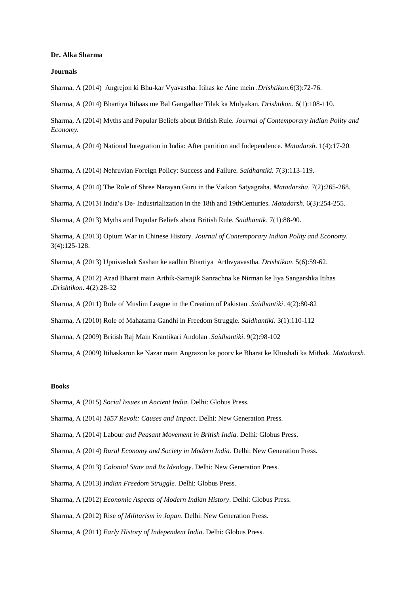## **Dr. Alka Sharma**

## **Journals**

Sharma, A (2014) Angrejon ki Bhu-kar Vyavastha: Itihas ke Aine mein *.Drishtikon.*6(3):72-76.

Sharma, A (2014) Bhartiya Itihaas me Bal Gangadhar Tilak ka Mulyakan*. Drishtikon*. 6(1):108-110.

Sharma, A (2014) Myths and Popular Beliefs about British Rule*. Journal of Contemporary Indian Polity and Economy.*

Sharma, A (2014) National Integration in India: After partition and Independence*. Matadarsh*. 1(4):17-20.

Sharma, A (2014) Nehruvian Foreign Policy: Success and Failure*. Saidhantiki.* 7(3):113-119.

Sharma, A (2014) The Role of Shree Narayan Guru in the Vaikon Satyagraha*. Matadarsha*. 7(2):265-268.

Sharma, A (2013) India's De- Industrialization in the 18th and 19thCenturies*. Matadarsh.* 6(3):254-255.

Sharma, A (2013) Myths and Popular Beliefs about British Rule*. Saidhantik*. 7(1):88-90.

Sharma, A (2013) Opium War in Chinese History. *Journal of Contemporary Indian Polity and Economy.* 3(4):125-128.

Sharma, A (2013) Upnivashak Sashan ke aadhin Bhartiya Arthvyavastha*. Drishtikon*. 5(6):59-62.

Sharma, A (2012) Azad Bharat main Arthik-Samajik Sanrachna ke Nirman ke liya Sangarshka Itihas *.Drishtikon*. 4(2):28-32

Sharma, A (2011) Role of Muslim League in the Creation of Pakistan *.Saidhantiki*. 4(2):80-82

Sharma, A (2010) Role of Mahatama Gandhi in Freedom Struggle*. Saidhantiki*. 3(1):110-112

Sharma, A (2009) British Raj Main Krantikari Andolan *.Saidhantiki*. 9(2):98-102

Sharma, A (2009) Itihaskaron ke Nazar main Angrazon ke poorv ke Bharat ke Khushali ka Mithak*. Matadarsh*.

## **Books**

Sharma, A (2015) *Social Issues in Ancient India*. Delhi: Globus Press.

Sharma, A (2014) *1857 Revolt: Causes and Impact*. Delhi: New Generation Press.

Sharma, A (2014) Labour *and Peasant Movement in British India.* Delhi: Globus Press.

Sharma, A (2014) *Rural Economy and Society in Modern India*. Delhi: New Generation Press.

Sharma, A (2013) *Colonial State and Its Ideology*. Delhi: New Generation Press.

Sharma, A (2013) *Indian Freedom Struggle.* Delhi: Globus Press.

Sharma, A (2012) *Economic Aspects of Modern Indian History*. Delhi: Globus Press.

Sharma, A (2012) Rise *of Militarism in Japan*. Delhi: New Generation Press.

Sharma, A (2011) *Early History of Independent India*. Delhi: Globus Press.